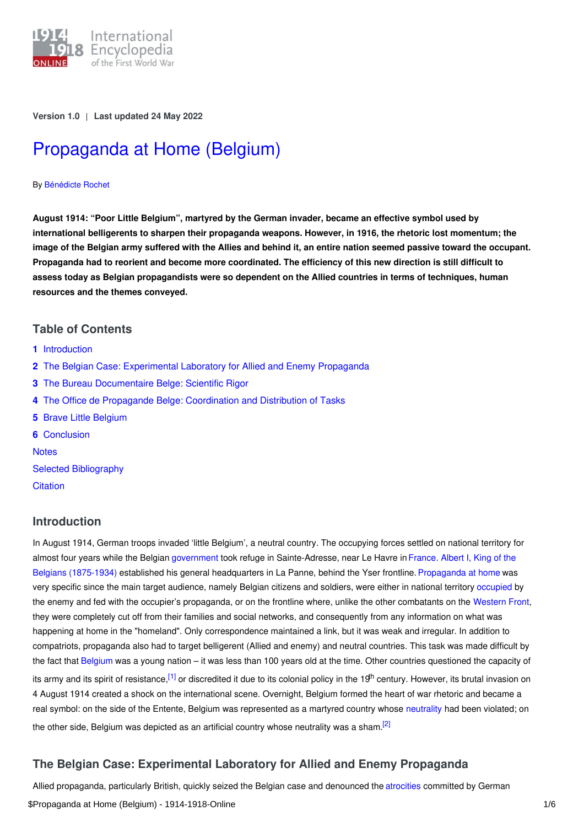

**Version 1.0** | **Last updated 24 May 2022**

# [Propaganda](https://encyclopedia.1914-1918-online.net/article/propaganda_at_home_belgium) at Home (Belgium)

#### By [Bénédicte](https://encyclopedia.1914-1918-online.net/contributors/B%C3%A9n%C3%A9dicte_Rochet) Rochet

**August 1914: "Poor Little Belgium", martyred by the German invader, became an effective symbol used by international belligerents to sharpen their propaganda weapons. However, in 1916, the rhetoric lost momentum; the** image of the Belgian army suffered with the Allies and behind it, an entire nation seemed passive toward the occupant. Propaganda had to reorient and become more coordinated. The efficiency of this new direction is still difficult to assess today as Belgian propagandists were so dependent on the Allied countries in terms of techniques, human **resources and the themes conveyed.**

## **Table of Contents**

- **1** [Introduction](#page-0-0)
- **2** The Belgian Case: [Experimental](#page-0-1) Laboratory for Allied and Enemy Propaganda
- **3** The Bureau [Documentaire](#page-1-0) Belge: Scientific Rigor
- **4** The Office de Propagande Belge: [Coordination](#page-1-1) and Distribution of Tasks
- **5** Brave Little [Belgium](#page-2-0)
- **6** [Conclusion](#page-3-0)

**[Notes](#page-4-0)** 

Selected [Bibliography](#page-5-0)

**[Citation](#page-5-1)** 

# <span id="page-0-0"></span>**Introduction**

In August 1914, German troops invaded 'little Belgium', a neutral country. The occupying forces settled on national territory for almost four years while the Belgian [government](http://ui:CeDiS1418@encyclopedia.1914-1918-online.net/article/governments_parliaments_and_parties_belgium) took refuge in Sainte-Adresse, near Le Havre in [France](http://ui:CeDiS1418@encyclopedia.1914-1918-online.net/article/france). Albert I, King of the Belgians (1875-1934) established his general headquarters in La Panne, behind the Yser frontline. Propaganda at home was very specific since the main target audience, namely Belgian citizens and soldiers, were either in national territory [occupied](http://ui:CeDiS1418@encyclopedia.1914-1918-online.net/article/occupation_during_the_war_belgium_and_france) by the enemy and fed with the occupier's propaganda, or on the frontline where, unlike the other combatants on the [Western](http://ui:CeDiS1418@encyclopedia.1914-1918-online.net/article/western_front) Front, they were completely cut off from their families and social networks, and consequently from any information on what was happening at home in the "homeland". Only correspondence maintained a link, but it was weak and irregular. In addition to compatriots, propaganda also had to target belligerent (Allied and enemy) and neutral countries. This task was made difficult by the fact that [Belgium](http://ui:CeDiS1418@encyclopedia.1914-1918-online.net/article/belgium) was a young nation – it was less than 100 years old at the time. Other countries questioned the capacity of its army and its spirit of resistance,<sup>[\[1\]](#page-4-1)</sup> or discredited it due to its colonial policy in the 19<sup>th</sup> century. However, its brutal invasion on 4 August 1914 created a shock on the international scene. Overnight, Belgium formed the heart of war rhetoric and became a real symbol: on the side of the Entente, Belgium was represented as a martyred country whose [neutrality](http://ui:CeDiS1418@encyclopedia.1914-1918-online.net/article/neutrality) had been violated; on the other side, Belgium was depicted as an artificial country whose neutrality was a sham.<sup>[\[2\]](#page-4-2)</sup>

# <span id="page-0-3"></span><span id="page-0-2"></span><span id="page-0-1"></span>**The Belgian Case: Experimental Laboratory for Allied and Enemy Propaganda**

Allied propaganda, particularly British, quickly seized the Belgian case and denounced the [atrocities](http://ui:CeDiS1418@encyclopedia.1914-1918-online.net/article/atrocities) committed by German \$Propaganda at Home (Belgium) - 1914-1918-Online 1/6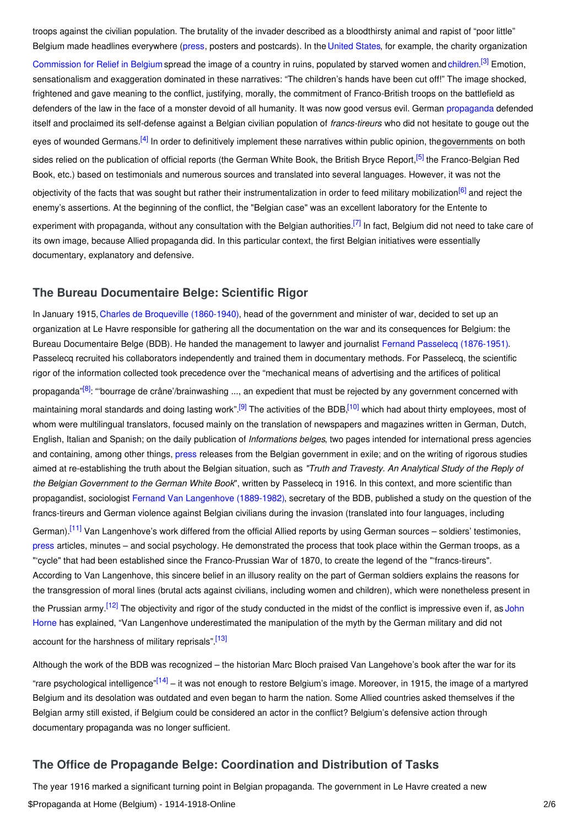troops against the civilian population. The brutality of the invader described as a bloodthirsty animal and rapist of "poor little" Belgium made headlines everywhere [\(press](http://ui:CeDiS1418@encyclopedia.1914-1918-online.net/article/pressjournalism), posters and postcards). In the [United](http://ui:CeDiS1418@encyclopedia.1914-1918-online.net/article/united_states_of_america) States, for example, the charity organization

<span id="page-1-4"></span><span id="page-1-3"></span><span id="page-1-2"></span>[Commission](http://ui:CeDiS1418@encyclopedia.1914-1918-online.net/article/commission_for_relief_in_belgium_crb) for Relief in Belgium spread the image of a country in ruins, populated by starved women and [children](http://ui:CeDiS1418@encyclopedia.1914-1918-online.net/article/children_and_youth).<sup>[\[3\]](#page-4-3)</sup> Emotion, sensationalism and exaggeration dominated in these narratives: "The children's hands have been cut off!" The image shocked, frightened and gave meaning to the conflict, justifying, morally, the commitment of Franco-British troops on the battlefield as defenders of the law in the face of a monster devoid of all humanity. It was now good versus evil. German [propaganda](http://ui:CeDiS1418@encyclopedia.1914-1918-online.net/article/propaganda_at_home_germany) defended itself and proclaimed its self-defense against a Belgian civilian population of *francs-tireurs* who did not hesitate to gouge out the eyes of wounded Germans.<sup>[\[4\]](#page-4-4)</sup> In order to definitively implement these narratives within public opinion, the[governments](http://ui:CeDiS1418@encyclopedia.1914-1918-online.net/article/governments_parliaments_and_parties) on both sides relied on the publication of official reports (the German White Book, the British Bryce Report,<sup>[\[5\]](#page-4-5)</sup> the Franco-Belgian Red Book, etc.) based on testimonials and numerous sources and translated into several languages. However, it was not the objectivity of the facts that was sought but rather their instrumentalization in order to feed military mobilization<sup>[\[6\]](#page-4-6)</sup> and reject the enemy's assertions. At the beginning of the conflict, the "Belgian case" was an excellent laboratory for the Entente to experiment with propaganda, without any consultation with the Belgian authorities.<sup>[\[7\]](#page-4-7)</sup> In fact, Belgium did not need to take care of its own image, because Allied propaganda did. In this particular context, the first Belgian initiatives were essentially documentary, explanatory and defensive.

## <span id="page-1-6"></span><span id="page-1-5"></span><span id="page-1-0"></span>**The Bureau Documentaire Belge: Scientific Rigor**

<span id="page-1-9"></span><span id="page-1-8"></span><span id="page-1-7"></span>In January 1915, Charles de Broqueville [\(1860-1940\)](http://ui:CeDiS1418@encyclopedia.1914-1918-online.net/index/names/119088568), head of the government and minister of war, decided to set up an organization at Le Havre responsible for gathering all the documentation on the war and its consequences for Belgium: the Bureau Documentaire Belge (BDB). He handed the management to lawyer and journalist Fernand Passelecq [\(1876-1951\)](http://ui:CeDiS1418@encyclopedia.1914-1918-online.net/index/names/141156821). Passelecq recruited his collaborators independently and trained them in documentary methods. For Passelecq, the scientific rigor of the information collected took precedence over the "mechanical means of advertising and the artifices of political propaganda"<sup>[\[8\]](#page-4-8)</sup>: "bourrage de crâne'/brainwashing ..., an expedient that must be rejected by any government concerned with maintaining moral standards and doing lasting work".<sup>[\[9\]](#page-4-9)</sup> The activities of the BDB,<sup>[\[10\]](#page-4-10)</sup> which had about thirty employees, most of whom were multilingual translators, focused mainly on the translation of newspapers and magazines written in German, Dutch, English, Italian and Spanish; on the daily publication of *Informations belges*, two pages intended for international press agencies and containing, among other things, [press](http://ui:CeDiS1418@encyclopedia.1914-1918-online.net/article/pressjournalism_belgium) releases from the Belgian government in exile; and on the writing of rigorous studies aimed at re-establishing the truth about the Belgian situation, such as *"Truth and Travesty. An Analytical Study of the Reply of the Belgian Government to the German White Book*", written by Passelecq in 1916. In this context, and more scientific than propagandist, sociologist Fernand Van [Langenhove](http://ui:CeDiS1418@encyclopedia.1914-1918-online.net/index/names/1044089652) (1889-1982), secretary of the BDB, published a study on the question of the francs-tireurs and German violence against Belgian civilians during the invasion (translated into four languages, including German).<sup>[\[11\]](#page-4-11)</sup> Van Langenhove's work differed from the official Allied reports by using German sources – soldiers' testimonies, [press](http://ui:CeDiS1418@encyclopedia.1914-1918-online.net/article/pressjournalism_germany) articles, minutes – and social psychology. He demonstrated the process that took place within the German troops, as a

<span id="page-1-11"></span><span id="page-1-10"></span>"'cycle" that had been established since the Franco-Prussian War of 1870, to create the legend of the "'francs-tireurs". According to Van Langenhove, this sincere belief in an illusory reality on the part of German soldiers explains the reasons for the transgression of moral lines (brutal acts against civilians, including women and children), which were nonetheless present in the Prussian army.<sup>[\[12\]](#page-4-12)</sup> The objectivity and rigor of the study conducted in the midst of the conflict is impressive even if, as John Horne has explained, "Van Langenhove [underestimated](http://ui:CeDiS1418@encyclopedia.1914-1918-online.net/contributors/John_Horne) the manipulation of the myth by the German military and did not account for the harshness of military reprisals".<sup>[\[13\]](#page-4-13)</sup>

<span id="page-1-13"></span><span id="page-1-12"></span>Although the work of the BDB was recognized – the historian Marc Bloch praised Van Langehove's book after the war for its "rare psychological intelligence"<sup>[\[14\]](#page-4-14)</sup> – it was not enough to restore Belgium's image. Moreover, in 1915, the image of a martyred Belgium and its desolation was outdated and even began to harm the nation. Some Allied countries asked themselves if the Belgian army still existed, if Belgium could be considered an actor in the conflict? Belgium's defensive action through documentary propaganda was no longer sufficient.

# <span id="page-1-1"></span>**The Office de Propagande Belge: Coordination and Distribution of Tasks**

The year 1916 marked a significant turning point in Belgian propaganda. The government in Le Havre created a new \$Propaganda at Home (Belgium) - 1914-1918-Online 2/6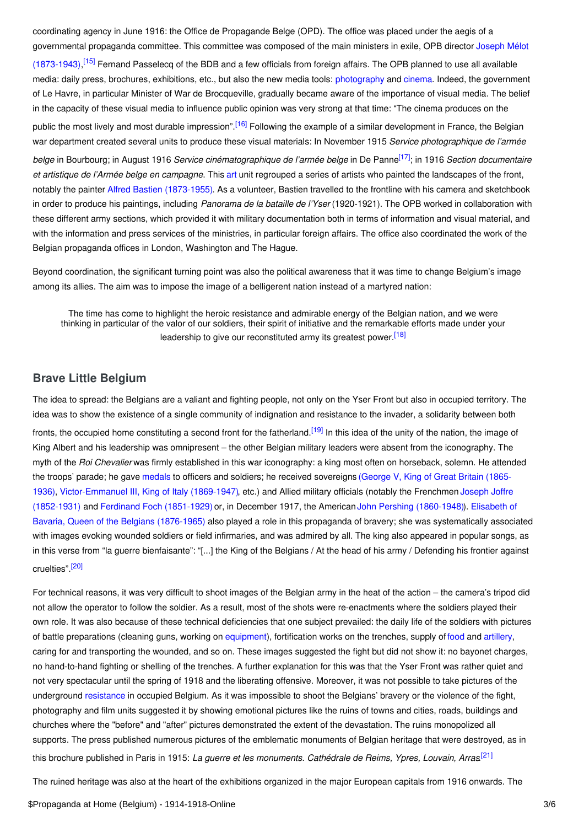coordinating agency in June 1916: the Office de Propagande Belge (OPD). The office was placed under the aegis of a [governmental](http://ui:CeDiS1418@encyclopedia.1914-1918-online.net/index/names/1257337467) propaganda committee. This committee was composed of the main ministers in exile, OPB director Joseph Mélot

<span id="page-2-2"></span><span id="page-2-1"></span>(1873-1943),<sup>[\[15\]](#page-4-15)</sup> Fernand Passelecq of the BDB and a few officials from foreign affairs. The OPB planned to use all available media: daily press, brochures, exhibitions, etc., but also the new media tools: [photography](http://ui:CeDiS1418@encyclopedia.1914-1918-online.net/article/photography) and [cinema](http://ui:CeDiS1418@encyclopedia.1914-1918-online.net/article/filmcinema_belgium). Indeed, the government of Le Havre, in particular Minister of War de Brocqueville, gradually became aware of the importance of visual media. The belief in the capacity of these visual media to influence public opinion was very strong at that time: "The cinema produces on the public the most lively and most durable impression".<sup>[\[16\]](#page-4-16)</sup> Following the example of a similar development in France, the Belgian war department created several units to produce these visual materials: In November 1915 *Service photographique de l'armée belge* in Bourbourg; in August 1916 *Service cinématographique de l'armée belge* in De Panne [\[17\]](#page-4-17) ; in 1916 *Section documentaire et artistique de l'Armée belge en campagne*. This [art](http://ui:CeDiS1418@encyclopedia.1914-1918-online.net/article/art) unit regrouped a series of artists who painted the landscapes of the front, notably the painter Alfred Bastien [\(1873-1955\)](http://ui:CeDiS1418@encyclopedia.1914-1918-online.net/index/names/173853439). As a volunteer, Bastien travelled to the frontline with his camera and sketchbook in order to produce his paintings, including *Panorama de la bataille de l'Yser* (1920-1921). The OPB worked in collaboration with these different army sections, which provided it with military documentation both in terms of information and visual material, and with the information and press services of the ministries, in particular foreign affairs. The office also coordinated the work of the Belgian propaganda offices in London, Washington and The Hague.

Beyond coordination, the significant turning point was also the political awareness that it was time to change Belgium's image among its allies. The aim was to impose the image of a belligerent nation instead of a martyred nation:

<span id="page-2-5"></span><span id="page-2-4"></span><span id="page-2-3"></span>The time has come to highlight the heroic resistance and admirable energy of the Belgian nation, and we were thinking in particular of the valor of our soldiers, their spirit of initiative and the remarkable efforts made under your leadership to give our reconstituted army its greatest power.<sup>[\[18\]](#page-4-18)</sup>

## <span id="page-2-0"></span>**Brave Little Belgium**

The idea to spread: the Belgians are a valiant and fighting people, not only on the Yser Front but also in occupied territory. The idea was to show the existence of a single community of indignation and resistance to the invader, a solidarity between both fronts, the occupied home constituting a second front for the fatherland.<sup>[\[19\]](#page-4-19)</sup> In this idea of the unity of the nation, the image of King Albert and his leadership was omnipresent – the other Belgian military leaders were absent from the iconography. The myth of the *Roi Chevalier* was firmly established in this war iconography: a king most often on horseback, solemn. He attended the troops' parade; he gave [medals](http://ui:CeDiS1418@encyclopedia.1914-1918-online.net/article/medals_and_decorations) to officers and soldiers; he received sovereigns (George V, King of Great Britain (1865- 1936), [Victor-Emmanuel](http://ui:CeDiS1418@encyclopedia.1914-1918-online.net/index/names/118776231) III, King of Italy (1869-1947), etc.) and Allied military officials (notably the Frenchmen Joseph Joffre (1852-1931) and Ferdinand Foch [\(1851-1929\)](http://ui:CeDiS1418@encyclopedia.1914-1918-online.net/index/names/118684078) or, in December 1917, the American John Pershing [\(1860-1948\)](http://ui:CeDiS1418@encyclopedia.1914-1918-online.net/index/names/12035506X)). Elisabeth of Bavaria, Queen of the Belgians (1876-1965) also played a role in this propaganda of bravery; she was [systematically](http://ui:CeDiS1418@encyclopedia.1914-1918-online.net/index/names/120107112) associated with images evoking wounded soldiers or field infirmaries, and was admired by all. The king also appeared in popular songs, as in this verse from "la guerre bienfaisante": "[...] the King of the Belgians / At the head of his army / Defending his frontier against cruelties" <sup>[\[20\]](#page-4-20)</sup>

<span id="page-2-6"></span>For technical reasons, it was very difficult to shoot images of the Belgian army in the heat of the action – the camera's tripod did not allow the operator to follow the soldier. As a result, most of the shots were re-enactments where the soldiers played their own role. It was also because of these technical deficiencies that one subject prevailed: the daily life of the soldiers with pictures of battle preparations (cleaning guns, working on [equipment\)](http://ui:CeDiS1418@encyclopedia.1914-1918-online.net/article/soldiers_equipment), fortification works on the trenches, supply of [food](http://ui:CeDiS1418@encyclopedia.1914-1918-online.net/article/food_and_nutrition_belgium) and [artillery](http://ui:CeDiS1418@encyclopedia.1914-1918-online.net/article/artillery), caring for and transporting the wounded, and so on. These images suggested the fight but did not show it: no bayonet charges, no hand-to-hand fighting or shelling of the trenches. A further explanation for this was that the Yser Front was rather quiet and not very spectacular until the spring of 1918 and the liberating offensive. Moreover, it was not possible to take pictures of the underground [resistance](http://ui:CeDiS1418@encyclopedia.1914-1918-online.net/article/resistance_belgium_and_france) in occupied Belgium. As it was impossible to shoot the Belgians' bravery or the violence of the fight, photography and film units suggested it by showing emotional pictures like the ruins of towns and cities, roads, buildings and churches where the "before" and "after" pictures demonstrated the extent of the devastation. The ruins monopolized all supports. The press published numerous pictures of the emblematic monuments of Belgian heritage that were destroyed, as in this brochure published in Paris in 1915: *La guerre et les monuments. Cathédrale de Reims, Ypres, Louvain, Arras*. [\[21\]](#page-4-21)

<span id="page-2-7"></span>The ruined heritage was also at the heart of the exhibitions organized in the major European capitals from 1916 onwards. The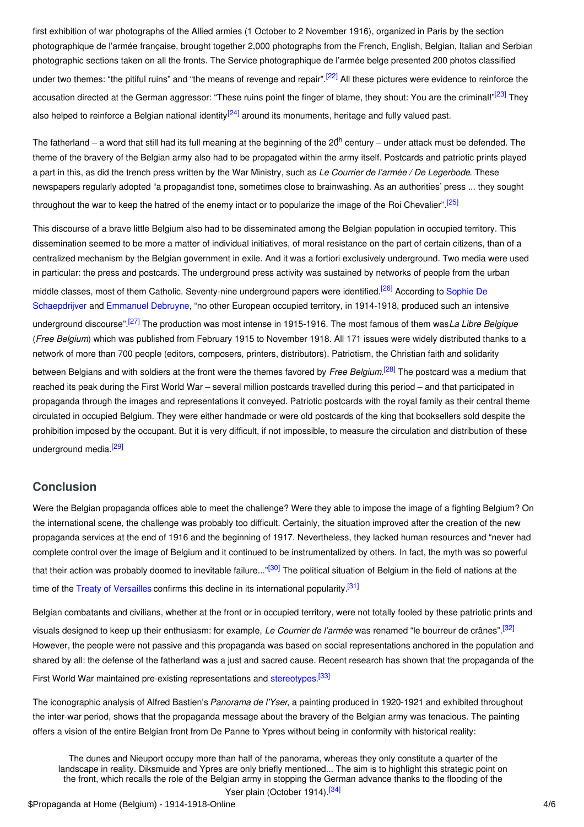<span id="page-3-1"></span>first exhibition of war photographs of the Allied armies (1 October to 2 November 1916), organized in Paris by the section photographique de l'armée française, brought together 2,000 photographs from the French, English, Belgian, Italian and Serbian photographic sections taken on all the fronts. The Service photographique de l'armée belge presented 200 photos classified under two themes: "the pitiful ruins" and "the means of revenge and repair".<sup>[\[22\]](#page-4-22)</sup> All these pictures were evidence to reinforce the accusation directed at the German aggressor: "These ruins point the finger of blame, they shout: You are the criminal!"<sup>[\[23\]](#page-4-23)</sup> They also helped to reinforce a Belgian national identity<sup>[\[24\]](#page-4-24)</sup> around its monuments, heritage and fully valued past.

<span id="page-3-3"></span><span id="page-3-2"></span>The fatherland – a word that still had its full meaning at the beginning of the 20<sup>th</sup> century – under attack must be defended. The theme of the bravery of the Belgian army also had to be propagated within the army itself. Postcards and patriotic prints played a part in this, as did the trench press written by the War Ministry, such as *Le Courrier de l'armée / De Legerbode*. These newspapers regularly adopted "a propagandist tone, sometimes close to brainwashing. As an authorities' press ... they sought throughout the war to keep the hatred of the enemy intact or to popularize the image of the Roi Chevalier".<sup>[\[25\]](#page-5-2)</sup>

<span id="page-3-6"></span><span id="page-3-5"></span><span id="page-3-4"></span>This discourse of a brave little Belgium also had to be disseminated among the Belgian population in occupied territory. This dissemination seemed to be more a matter of individual initiatives, of moral resistance on the part of certain citizens, than of a centralized mechanism by the Belgian government in exile. And it was a fortiori exclusively underground. Two media were used in particular: the press and postcards. The underground press activity was sustained by networks of people from the urban middle classes, most of them Catholic. [Seventy-nine](http://ui:CeDiS1418@encyclopedia.1914-1918-online.net/contributors/Sophie_De_Schaepdrijver) underground papers were identified.<sup>[\[26\]](#page-5-3)</sup> According to Sophie De Schaepdrijver and [Emmanuel](http://ui:CeDiS1418@encyclopedia.1914-1918-online.net/contributors/Emmanuel_Debruyne) Debruyne, "no other European occupied territory, in 1914-1918, produced such an intensive underground discourse". [\[27\]](#page-5-4) The production was most intense in 1915-1916. The most famous of them was*La Libre Belgique* (*Free Belgium*) which was published from February 1915 to November 1918. All 171 issues were widely distributed thanks to a network of more than 700 people (editors, composers, printers, distributors). Patriotism, the Christian faith and solidarity between Belgians and with soldiers at the front were the themes favored by *Free Belgium*. [\[28\]](#page-5-5) The postcard was a medium that reached its peak during the First World War – several million postcards travelled during this period – and that participated in propaganda through the images and representations it conveyed. Patriotic postcards with the royal family as their central theme circulated in occupied Belgium. They were either handmade or were old postcards of the king that booksellers sold despite the prohibition imposed by the occupant. But it is very difficult, if not impossible, to measure the circulation and distribution of these underground media.<sup>[\[29\]](#page-5-6)</sup>

## <span id="page-3-8"></span><span id="page-3-7"></span><span id="page-3-0"></span>**Conclusion**

Were the Belgian propaganda offices able to meet the challenge? Were they able to impose the image of a fighting Belgium? On the international scene, the challenge was probably too difficult. Certainly, the situation improved after the creation of the new propaganda services at the end of 1916 and the beginning of 1917. Nevertheless, they lacked human resources and "never had complete control over the image of Belgium and it continued to be instrumentalized by others. In fact, the myth was so powerful that their action was probably doomed to inevitable failure..."<sup>[\[30\]](#page-5-7)</sup> The political situation of Belgium in the field of nations at the time of the Treaty of [Versailles](http://ui:CeDiS1418@encyclopedia.1914-1918-online.net/article/versailles_treaty_of) confirms this decline in its international popularity.<sup>[\[31\]](#page-5-8)</sup>

Belgian combatants and civilians, whether at the front or in occupied territory, were not totally fooled by these patriotic prints and visuals designed to keep up their enthusiasm: for example, *Le Courrier de l'armée* was renamed "le bourreur de crânes". [\[32\]](#page-5-9) However, the people were not passive and this propaganda was based on social representations anchored in the population and shared by all: the defense of the fatherland was a just and sacred cause. Recent research has shown that the propaganda of the First World War maintained pre-existing representations and [stereotypes](http://ui:CeDiS1418@encyclopedia.1914-1918-online.net/article/stereotypes).<sup>[\[33\]](#page-5-10)</sup>

The iconographic analysis of Alfred Bastien's *Panorama de l'Yser*, a painting produced in 1920-1921 and exhibited throughout the inter-war period, shows that the propaganda message about the bravery of the Belgian army was tenacious. The painting offers a vision of the entire Belgian front from De Panne to Ypres without being in conformity with historical reality:

The dunes and Nieuport occupy more than half of the panorama, whereas they only constitute a quarter of the landscape in reality. Diksmuide and Ypres are only briefly mentioned... The aim is to highlight this strategic point on the front, which recalls the role of the Belgian army in stopping the German advance thanks to the flooding of the

<span id="page-3-13"></span><span id="page-3-12"></span><span id="page-3-11"></span><span id="page-3-10"></span><span id="page-3-9"></span>Yser plain (October 1914).<sup>[\[34\]](#page-5-11)</sup>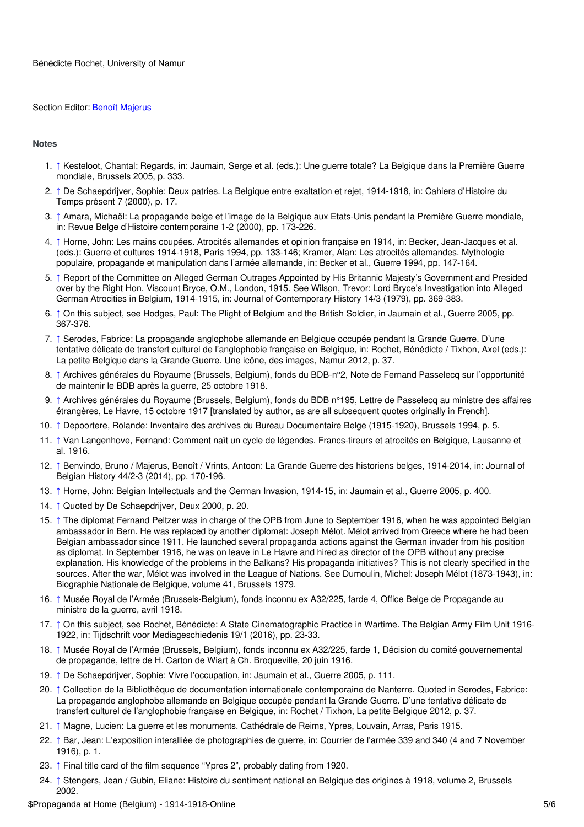#### Section Editor: Benoît [Majerus](https://encyclopedia.1914-1918-online.net/contributors/Benoit_Majerus)

#### <span id="page-4-0"></span>**Notes**

- <span id="page-4-1"></span>1. [↑](#page-0-2) Kesteloot, Chantal: Regards, in: Jaumain, Serge et al. (eds.): Une guerre totale? La Belgique dans la Première Guerre mondiale, Brussels 2005, p. 333.
- <span id="page-4-2"></span>2. [↑](#page-0-3) De Schaepdrijver, Sophie: Deux patries. La Belgique entre exaltation et rejet, 1914-1918, in: Cahiers d'Histoire du Temps présent 7 (2000), p. 17.
- <span id="page-4-3"></span>3. [↑](#page-1-2) Amara, Michaël: La propagande belge et l'image de la Belgique aux Etats-Unis pendant la Première Guerre mondiale, in: Revue Belge d'Histoire contemporaine 1-2 (2000), pp. 173-226.
- <span id="page-4-4"></span>4. [↑](#page-1-3) Horne, John: Les mains coupées. Atrocités allemandes et opinion française en 1914, in: Becker, Jean-Jacques et al. (eds.): Guerre et cultures 1914-1918, Paris 1994, pp. 133-146; Kramer, Alan: Les atrocités allemandes. Mythologie populaire, propagande et manipulation dans l'armée allemande, in: Becker et al., Guerre 1994, pp. 147-164.
- <span id="page-4-5"></span>5. [↑](#page-1-4) Report of the Committee on Alleged German Outrages Appointed by His Britannic Majesty's Government and Presided over by the Right Hon. Viscount Bryce, O.M., London, 1915. See Wilson, Trevor: Lord Bryce's Investigation into Alleged German Atrocities in Belgium, 1914-1915, in: Journal of Contemporary History 14/3 (1979), pp. 369-383.
- <span id="page-4-6"></span>6. [↑](#page-1-5) On this subject, see Hodges, Paul: The Plight of Belgium and the British Soldier, in Jaumain et al., Guerre 2005, pp. 367-376.
- <span id="page-4-7"></span>7. [↑](#page-1-6) Serodes, Fabrice: La propagande anglophobe allemande en Belgique occupée pendant la Grande Guerre. D'une tentative délicate de transfert culturel de l'anglophobie française en Belgique, in: Rochet, Bénédicte / Tixhon, Axel (eds.): La petite Belgique dans la Grande Guerre. Une icône, des images, Namur 2012, p. 37.
- <span id="page-4-8"></span>8. [↑](#page-1-7) Archives générales du Royaume (Brussels, Belgium), fonds du BDB-n°2, Note de Fernand Passelecq sur l'opportunité de maintenir le BDB après la guerre, 25 octobre 1918.
- <span id="page-4-9"></span>9. [↑](#page-1-8) Archives générales du Royaume (Brussels, Belgium), fonds du BDB n°195, Lettre de Passelecq au ministre des affaires étrangères, Le Havre, 15 octobre 1917 [translated by author, as are all subsequent quotes originally in French].
- <span id="page-4-10"></span>10. [↑](#page-1-9) Depoortere, Rolande: Inventaire des archives du Bureau Documentaire Belge (1915-1920), Brussels 1994, p. 5.
- <span id="page-4-11"></span>11. [↑](#page-1-10) Van Langenhove, Fernand: Comment naît un cycle de légendes. Francs-tireurs et atrocités en Belgique, Lausanne et al. 1916.
- <span id="page-4-12"></span>12. [↑](#page-1-11) Benvindo, Bruno / Majerus, Benoît / Vrints, Antoon: La Grande Guerre des historiens belges, 1914-2014, in: Journal of Belgian History 44/2-3 (2014), pp. 170-196.
- <span id="page-4-13"></span>13. [↑](#page-1-12) Horne, John: Belgian Intellectuals and the German Invasion, 1914-15, in: Jaumain et al., Guerre 2005, p. 400.
- <span id="page-4-14"></span>14. [↑](#page-1-13) Quoted by De Schaepdrijver, Deux 2000, p. 20.
- <span id="page-4-15"></span>15. [↑](#page-2-1) The diplomat Fernand Peltzer was in charge of the OPB from June to September 1916, when he was appointed Belgian ambassador in Bern. He was replaced by another diplomat: Joseph Mélot. Mélot arrived from Greece where he had been Belgian ambassador since 1911. He launched several propaganda actions against the German invader from his position as diplomat. In September 1916, he was on leave in Le Havre and hired as director of the OPB without any precise explanation. His knowledge of the problems in the Balkans? His propaganda initiatives? This is not clearly specified in the sources. After the war, Mélot was involved in the League of Nations. See Dumoulin, Michel: Joseph Mélot (1873-1943), in: Biographie Nationale de Belgique, volume 41, Brussels 1979.
- <span id="page-4-16"></span>16. [↑](#page-2-2) Musée Royal de l'Armée (Brussels-Belgium), fonds inconnu ex A32/225, farde 4, Office Belge de Propagande au ministre de la guerre, avril 1918.
- <span id="page-4-17"></span>17. [↑](#page-2-3) On this subject, see Rochet, Bénédicte: A State Cinematographic Practice in Wartime. The Belgian Army Film Unit 1916- 1922, in: Tijdschrift voor Mediageschiedenis 19/1 (2016), pp. 23-33.
- <span id="page-4-18"></span>18. [↑](#page-2-4) Musée Royal de l'Armée (Brussels, Belgium), fonds inconnu ex A32/225, farde 1, Décision du comité gouvernemental de propagande, lettre de H. Carton de Wiart à Ch. Broqueville, 20 juin 1916.
- <span id="page-4-19"></span>19. [↑](#page-2-5) De Schaepdrijver, Sophie: Vivre l'occupation, in: Jaumain et al., Guerre 2005, p. 111.
- <span id="page-4-20"></span>20. [↑](#page-2-6) Collection de la Bibliothèque de documentation internationale contemporaine de Nanterre. Quoted in Serodes, Fabrice: La propagande anglophobe allemande en Belgique occupée pendant la Grande Guerre. D'une tentative délicate de transfert culturel de l'anglophobie française en Belgique, in: Rochet / Tixhon, La petite Belgique 2012, p. 37.
- <span id="page-4-21"></span>21. [↑](#page-2-7) Magne, Lucien: La guerre et les monuments. Cathédrale de Reims, Ypres, Louvain, Arras, Paris 1915.
- <span id="page-4-22"></span>22. [↑](#page-3-1) Bar, Jean: L'exposition interalliée de photographies de guerre, in: Courrier de l'armée 339 and 340 (4 and 7 November 1916), p. 1.
- <span id="page-4-23"></span>23. [↑](#page-3-2) Final title card of the film sequence "Ypres 2", probably dating from 1920.
- <span id="page-4-24"></span>24. [↑](#page-3-3) Stengers, Jean / Gubin, Eliane: Histoire du sentiment national en Belgique des origines à 1918, volume 2, Brussels 2002.